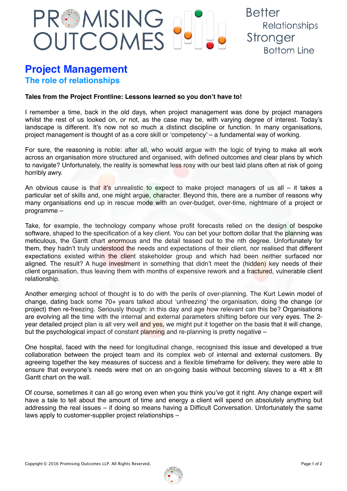## PREMISING<br>OUTCOMES

## **Project Management The role of relationships**

## **Tales from the Project Frontline: Lessons learned so you don't have to!**

I remember a time, back in the old days, when project management was done by project managers whilst the rest of us looked on, or not, as the case may be, with varying degree of interest. Today's landscape is different. It's now not so much a distinct discipline or function. In many organisations, project management is thought of as a core skill or 'competency' – a fundamental way of working.

**Better** 

Stronger

Relationships

**Bottom Line** 

For sure, the reasoning is noble: after all, who would argue with the logic of trying to make all work across an organisation more structured and organised, with defined outcomes and clear plans by which to navigate? Unfortunately, the reality is somewhat less rosy with our best laid plans often at risk of going horribly awry.

An obvious cause is that it's unrealistic to expect to make project managers of us all  $-$  it takes a particular set of skills and, one might argue, character. Beyond this, there are a number of reasons why many organisations end up in rescue mode with an over-budget, over-time, nightmare of a project or programme –

Take, for example, the technology company whose profit forecasts relied on the design of bespoke software, shaped to the specification of a key client. You can bet your bottom dollar that the planning was meticulous, the Gantt chart enormous and the detail teased out to the nth degree. Unfortunately for them, they hadn't truly understood the needs and expectations of their client, nor realised that different expectations existed within the client stakeholder group and which had been neither surfaced nor aligned. The result? A huge investment in something that didn't meet the (hidden) key needs of their client organisation, thus leaving them with months of expensive rework and a fractured, vulnerable client relationship.

Another emerging school of thought is to do with the perils of over-planning. The Kurt Lewin model of change, dating back some 70+ years talked about 'unfreezing' the organisation, doing the change (or project) then re-freezing. Seriously though: in this day and age how relevant can this be? Organisations are evolving all the time with the internal and external parameters shifting before our very eyes. The 2 year detailed project plan is all very well and yes, we might put it together on the basis that it will change, but the psychological impact of constant planning and re-planning is pretty negative –

One hospital, faced with the need for longitudinal change, recognised this issue and developed a true collaboration between the project team and its complex web of internal and external customers. By agreeing together the key measures of success and a flexible timeframe for delivery, they were able to ensure that everyone's needs were met on an on-going basis without becoming slaves to a 4ft x 8ft Gantt chart on the wall.

Of course, sometimes it can all go wrong even when you think you've got it right. Any change expert will have a tale to tell about the amount of time and energy a client will spend on absolutely anything but addressing the real issues – if doing so means having a Difficult Conversation. Unfortunately the same laws apply to customer-supplier project relationships –